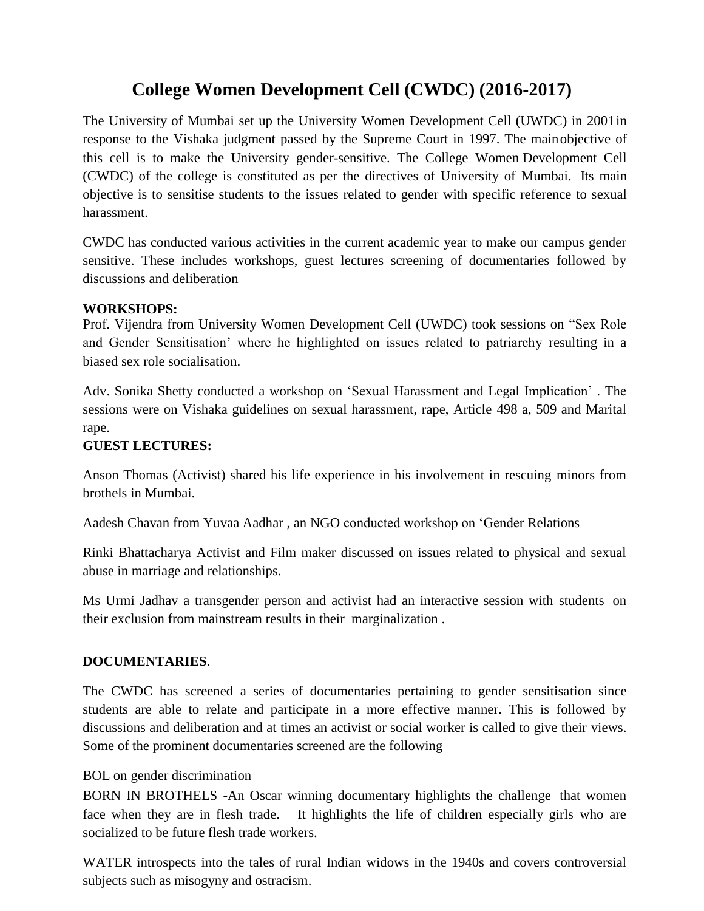# **College Women Development Cell (CWDC) (2016-2017)**

The University of Mumbai set up the University Women Development Cell (UWDC) in 2001in response to the Vishaka judgment passed by the Supreme Court in 1997. The mainobjective of this cell is to make the University gender-sensitive. The College Women Development Cell (CWDC) of the college is constituted as per the directives of University of Mumbai. Its main objective is to sensitise students to the issues related to gender with specific reference to sexual harassment.

CWDC has conducted various activities in the current academic year to make our campus gender sensitive. These includes workshops, guest lectures screening of documentaries followed by discussions and deliberation

# **WORKSHOPS:**

Prof. Vijendra from University Women Development Cell (UWDC) took sessions on "Sex Role and Gender Sensitisation' where he highlighted on issues related to patriarchy resulting in a biased sex role socialisation.

Adv. Sonika Shetty conducted a workshop on 'Sexual Harassment and Legal Implication' . The sessions were on Vishaka guidelines on sexual harassment, rape, Article 498 a, 509 and Marital rape.

# **GUEST LECTURES:**

Anson Thomas (Activist) shared his life experience in his involvement in rescuing minors from brothels in Mumbai.

Aadesh Chavan from Yuvaa Aadhar , an NGO conducted workshop on 'Gender Relations

Rinki Bhattacharya Activist and Film maker discussed on issues related to physical and sexual abuse in marriage and relationships.

Ms Urmi Jadhav a transgender person and activist had an interactive session with students on their exclusion from mainstream results in their marginalization .

### **DOCUMENTARIES**.

The CWDC has screened a series of documentaries pertaining to gender sensitisation since students are able to relate and participate in a more effective manner. This is followed by discussions and deliberation and at times an activist or social worker is called to give their views. Some of the prominent documentaries screened are the following

### BOL on gender discrimination

BORN IN BROTHELS -An Oscar winning documentary highlights the challenge that women face when they are in flesh trade. It highlights the life of children especially girls who are socialized to be future flesh trade workers.

WATER introspects into the tales of rural Indian widows in the 1940s and covers controversial subjects such as misogyny and ostracism.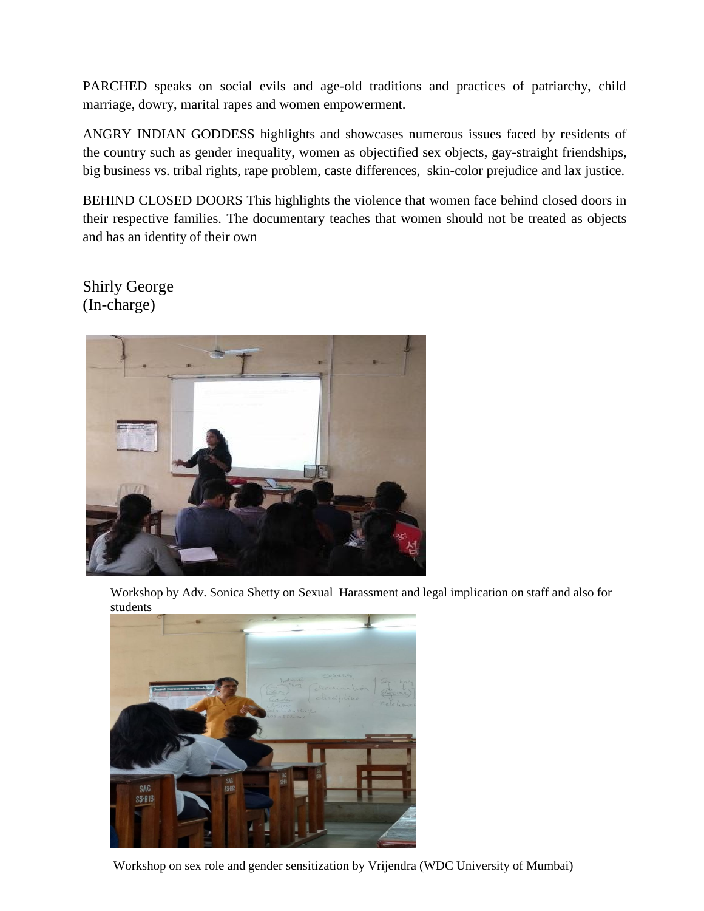PARCHED speaks on social evils and age-old traditions and practices of patriarchy, child marriage, dowry, marital rapes and women empowerment.

ANGRY INDIAN GODDESS highlights and showcases numerous issues faced by residents of the country such as gender inequality, women as objectified sex objects, gay-straight friendships, big business vs. tribal rights, rape problem, caste differences, skin-color prejudice and lax justice.

BEHIND CLOSED DOORS This highlights the violence that women face behind closed doors in their respective families. The documentary teaches that women should not be treated as objects and has an identity of their own

Shirly George (In-charge)



Workshop by Adv. Sonica Shetty on Sexual Harassment and legal implication on staff and also for students



Workshop on sex role and gender sensitization by Vrijendra (WDC University of Mumbai)